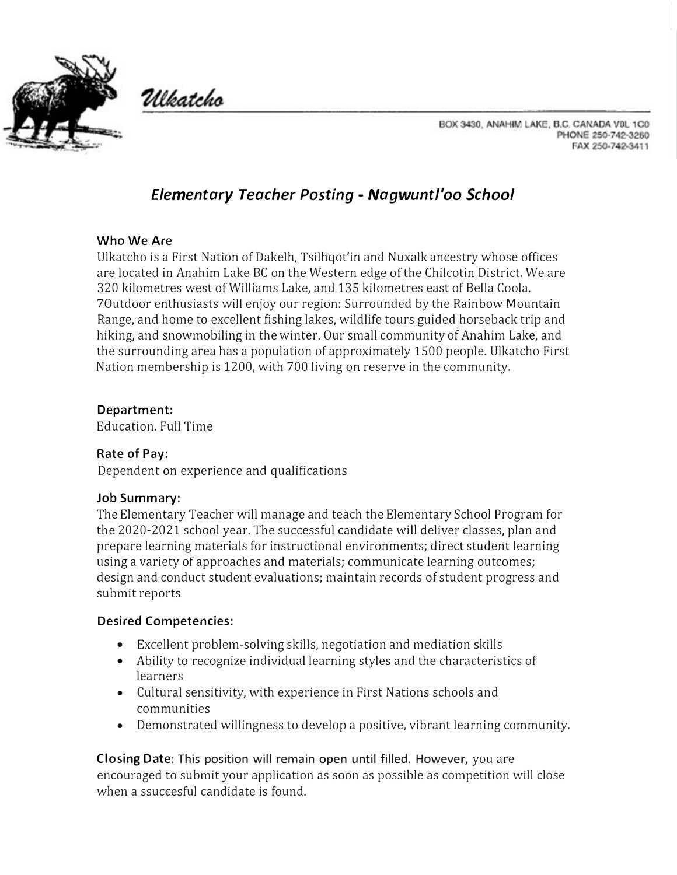

Ulkatcho

BOX 3430, ANAHIM LAKE, B.C. CANADA VOL 1C0 PHONE 250-742-3260 FAX 250-742-3411

# *Elementary Teacher Posting - Nagwuntl'oo School*

#### **Who We Are**

Ulkatcho is a First Nation of Dakelh, Tsilhqot'in and Nuxalk ancestry whose offices are located in Anahim Lake BC on the Western edge of the Chilcotin District. We are 320 kilometres west of Williams Lake, and 135 kilometres east of Bella Coola. 7Outdoor enthusiasts will enjoy our region: Surrounded by the Rainbow Mountain Range, and home to excellent fishing lakes, wildlife tours guided horseback trip and hiking, and snowmobiling in the winter. Our small community of Anahim Lake, and the surrounding area has a population of approximately 1500 people. Ulkatcho First Nation membership is 1200, with 700 living on reserve in the community.

## **Department:**

Education. Full Time

# **Rate of Pay:**

Dependent on experience and qualifications

#### **Job Summary:**

The Elementary Teacher will manage and teach the Elementary School Program for the 2020-2021 school year. The successful candidate will deliver classes, plan and prepare learning materials for instructional environments; direct student learning using a variety of approaches and materials; communicate learning outcomes; design and conduct student evaluations; maintain records of student progress and submit reports

#### **Desired Competencies:**

- Excellent problem-solving skills, negotiation and mediation skills
- Ability to recognize individual learning styles and the characteristics of learners
- Cultural sensitivity, with experience in First Nations schools and communities
- Demonstrated willingness to develop a positive, vibrant learning community.

**Closing Date:** This position will remain open until filled. However, you are encouraged to submit your application as soon as possible as competition will close when a ssuccesful candidate is found.